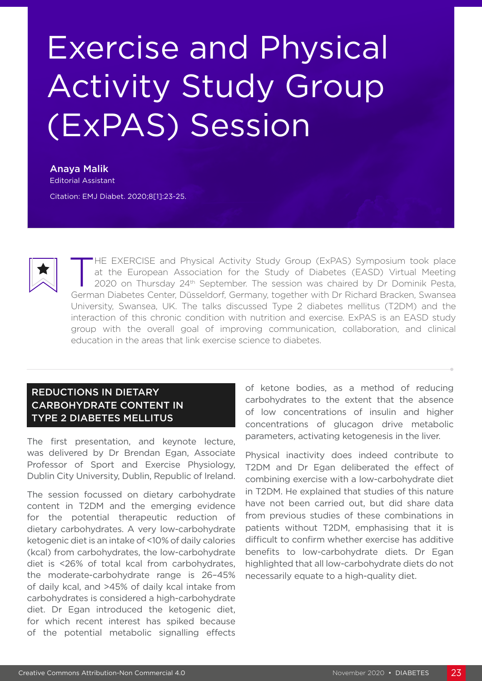# Exercise and Physical Activity Study Group (ExPAS) Session

Anaya Malik Editorial Assistant Citation: EMJ Diabet. 2020;8[1]:23-25.



HE EXERCISE and Physical Activity Study Group (ExPAS) Symposium took place at the European Association for the Study of Diabetes (EASD) Virtual Meeting 2020 on Thursday 24th September. The session was chaired by Dr Dominik Pesta, German Diabetes Center, Düsseldorf, Germany, together with Dr Richard Bracken, Swansea University, Swansea, UK. The talks discussed Type 2 diabetes mellitus (T2DM) and the interaction of this chronic condition with nutrition and exercise. ExPAS is an EASD study group with the overall goal of improving communication, collaboration, and clinical education in the areas that link exercise science to diabetes.

## REDUCTIONS IN DIETARY CARBOHYDRATE CONTENT IN TYPE 2 DIABETES MELLITUS

The first presentation, and keynote lecture, was delivered by Dr Brendan Egan, Associate Professor of Sport and Exercise Physiology, Dublin City University, Dublin, Republic of Ireland.

The session focussed on dietary carbohydrate content in T2DM and the emerging evidence for the potential therapeutic reduction of dietary carbohydrates. A very low-carbohydrate ketogenic diet is an intake of <10% of daily calories (kcal) from carbohydrates, the low-carbohydrate diet is <26% of total kcal from carbohydrates, the moderate-carbohydrate range is 26–45% of daily kcal, and >45% of daily kcal intake from carbohydrates is considered a high-carbohydrate diet. Dr Egan introduced the ketogenic diet, for which recent interest has spiked because of the potential metabolic signalling effects

of ketone bodies, as a method of reducing carbohydrates to the extent that the absence of low concentrations of insulin and higher concentrations of glucagon drive metabolic parameters, activating ketogenesis in the liver.

Physical inactivity does indeed contribute to T2DM and Dr Egan deliberated the effect of combining exercise with a low-carbohydrate diet in T2DM. He explained that studies of this nature have not been carried out, but did share data from previous studies of these combinations in patients without T2DM, emphasising that it is difficult to confirm whether exercise has additive benefits to low-carbohydrate diets. Dr Egan highlighted that all low-carbohydrate diets do not necessarily equate to a high-quality diet.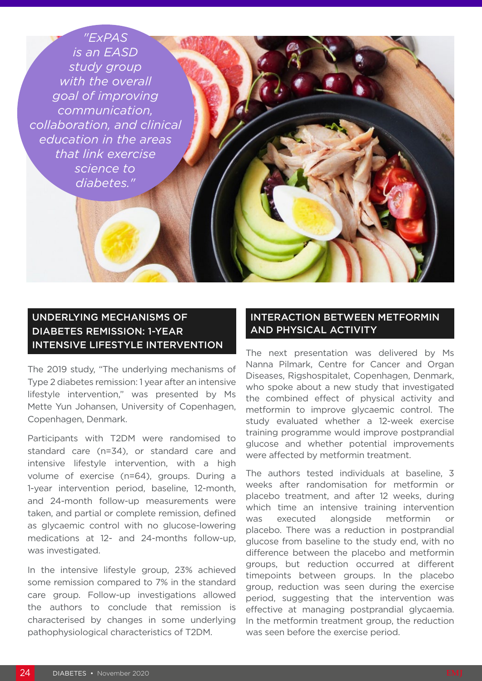#### *"ExPAS*

*is an EASD*  study group *with the overall goal of improving communication, collaboration, and clinical education in the areas that link exercise science to diabetes."*

## UNDERLYING MECHANISMS OF DIABETES REMISSION: 1-YEAR INTENSIVE LIFESTYLE INTERVENTION

The 2019 study, "The underlying mechanisms of Type 2 diabetes remission: 1 year after an intensive lifestyle intervention," was presented by Ms Mette Yun Johansen, University of Copenhagen, Copenhagen, Denmark.

Participants with T2DM were randomised to standard care (n=34), or standard care and intensive lifestyle intervention, with a high volume of exercise (n=64), groups. During a 1-year intervention period, baseline, 12-month, and 24-month follow-up measurements were taken, and partial or complete remission, defined as glycaemic control with no glucose-lowering medications at 12- and 24-months follow-up, was investigated.

In the intensive lifestyle group, 23% achieved some remission compared to 7% in the standard care group. Follow-up investigations allowed the authors to conclude that remission is characterised by changes in some underlying pathophysiological characteristics of T2DM.

#### INTERACTION BETWEEN METFORMIN AND PHYSICAL ACTIVITY

The next presentation was delivered by Ms Nanna Pilmark, Centre for Cancer and Organ Diseases, Rigshospitalet, Copenhagen, Denmark, who spoke about a new study that investigated the combined effect of physical activity and metformin to improve glycaemic control. The study evaluated whether a 12-week exercise training programme would improve postprandial glucose and whether potential improvements were affected by metformin treatment.

The authors tested individuals at baseline, 3 weeks after randomisation for metformin or placebo treatment, and after 12 weeks, during which time an intensive training intervention was executed alongside metformin or placebo. There was a reduction in postprandial glucose from baseline to the study end, with no difference between the placebo and metformin groups, but reduction occurred at different timepoints between groups. In the placebo group, reduction was seen during the exercise period, suggesting that the intervention was effective at managing postprandial glycaemia. In the metformin treatment group, the reduction was seen before the exercise period.